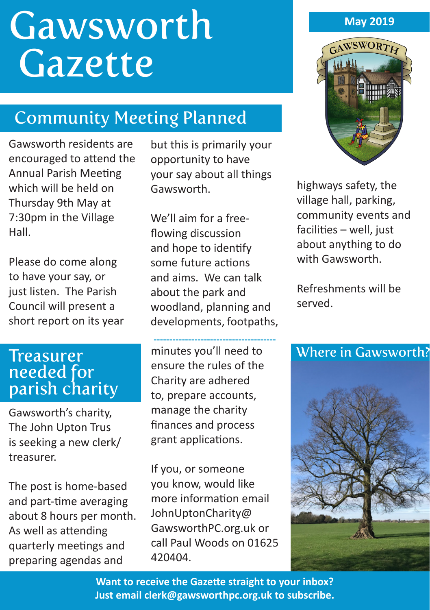# **Gawsworth** Gazette

## Community Meeting Planned

Gawsworth residents are encouraged to attend the Annual Parish Meeting which will be held on Thursday 9th May at 7:30pm in the Village Hall.

Please do come along to have your say, or just listen. The Parish Council will present a short report on its year

## needed for parish charity

Gawsworth's charity, The John Upton Trus is seeking a new clerk/ treasurer.

The post is home-based and part-time averaging about 8 hours per month. As well as attending quarterly meetings and preparing agendas and

but this is primarily your opportunity to have your say about all things Gawsworth.

We'll aim for a freeflowing discussion and hope to identify some future actions and aims. We can talk about the park and woodland, planning and developments, footpaths,

minutes you'll need to ensure the rules of the Charity are adhered to, prepare accounts, manage the charity finances and process grant applications. **---------------------------------------**

If you, or someone you know, would like more information email JohnUptonCharity@ GawsworthPC.org.uk or call Paul Woods on 01625 420404.

#### **May 2019**



highways safety, the village hall, parking, community events and facilities – well, just about anything to do with Gawsworth.

Refreshments will be served.

#### Treasurer Manutes you'll need to Where in Gawsworth?



**Want to receive the Gazette straight to your inbox? Just email clerk@gawsworthpc.org.uk to subscribe.**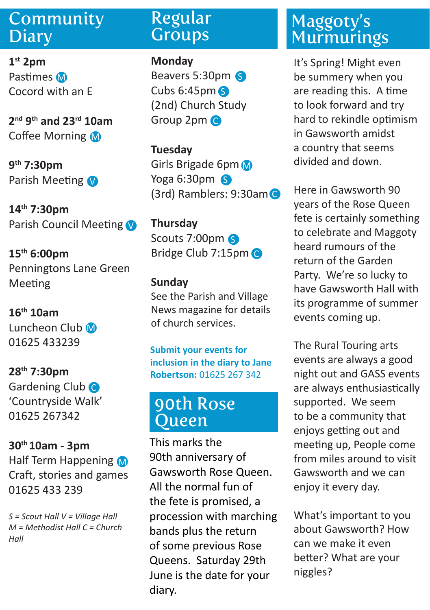#### Community **Diary**

**1st 2pm** Pastimes M Cocord with an E

**2nd 9th and 23rd 10am** Coffee Morning M

**9th 7:30pm** Parish Meeting

**14th 7:30pm** Parish Council Meeting

**15th 6:00pm** Penningtons Lane Green Meeting

**16th 10am** Luncheon Club M 01625 433239

**28th 7:30pm** Gardening Club C 'Countryside Walk' 01625 267342

**30th 10am - 3pm**  Half Term Happening Craft, stories and games 01625 433 239

*S = Scout Hall V = Village Hall M = Methodist Hall C = Church Hall* 

#### Regular **Groups**

**Monday**

Beavers 5:30pm 6 Cubs 6:45pm S (2nd) Church Study Group 2pm C

**Tuesday** Girls Brigade 6pm Yoga 6:30pm (3rd) Ramblers: 9:30am C

**Thursday** Scouts 7:00pm S Bridge Club 7:15pm C

#### **Sunday**

See the Parish and Village News magazine for details of church services.

**Submit your events for inclusion in the diary to Jane Robertson:** 01625 267 342

#### 90th Rose Queen

This marks the 90th anniversary of Gawsworth Rose Queen. All the normal fun of the fete is promised, a procession with marching bands plus the return of some previous Rose Queens. Saturday 29th June is the date for your diary.

### Maggoty's **Murmurings**

It's Spring! Might even be summery when you are reading this. A time to look forward and try hard to rekindle optimism in Gawsworth amidst a country that seems divided and down.

Here in Gawsworth 90 years of the Rose Queen fete is certainly something to celebrate and Maggoty heard rumours of the return of the Garden Party. We're so lucky to have Gawsworth Hall with its programme of summer events coming up.

The Rural Touring arts events are always a good night out and GASS events are always enthusiastically supported. We seem to be a community that enjoys getting out and meeting up, People come from miles around to visit Gawsworth and we can enjoy it every day.

What's important to you about Gawsworth? How can we make it even better? What are your niggles?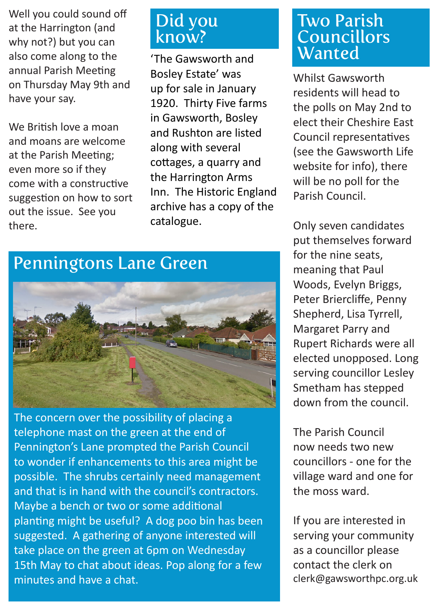Well you could sound off at the Harrington (and why not?) but you can also come along to the annual Parish Meeting on Thursday May 9th and have your say.

We British love a moan and moans are welcome at the Parish Meeting; even more so if they come with a constructive suggestion on how to sort out the issue. See you there.

#### Did you know?

'The Gawsworth and Bosley Estate' was up for sale in January 1920. Thirty Five farms in Gawsworth, Bosley and Rushton are listed along with several cottages, a quarry and the Harrington Arms Inn. The Historic England archive has a copy of the catalogue.

### Penningtons Lane Green



The concern over the possibility of placing a telephone mast on the green at the end of Pennington's Lane prompted the Parish Council to wonder if enhancements to this area might be possible. The shrubs certainly need management and that is in hand with the council's contractors. Maybe a bench or two or some additional planting might be useful? A dog poo bin has been suggested. A gathering of anyone interested will take place on the green at 6pm on Wednesday 15th May to chat about ideas. Pop along for a few minutes and have a chat.

#### Two Parish Councillors **Wanted**

Whilst Gawsworth residents will head to the polls on May 2nd to elect their Cheshire East Council representatives (see the Gawsworth Life website for info), there will be no poll for the Parish Council.

Only seven candidates put themselves forward for the nine seats, meaning that Paul Woods, Evelyn Briggs, Peter Briercliffe, Penny Shepherd, Lisa Tyrrell, Margaret Parry and Rupert Richards were all elected unopposed. Long serving councillor Lesley Smetham has stepped down from the council.

The Parish Council now needs two new councillors - one for the village ward and one for the moss ward.

If you are interested in serving your community as a councillor please contact the clerk on clerk@gawsworthpc.org.uk